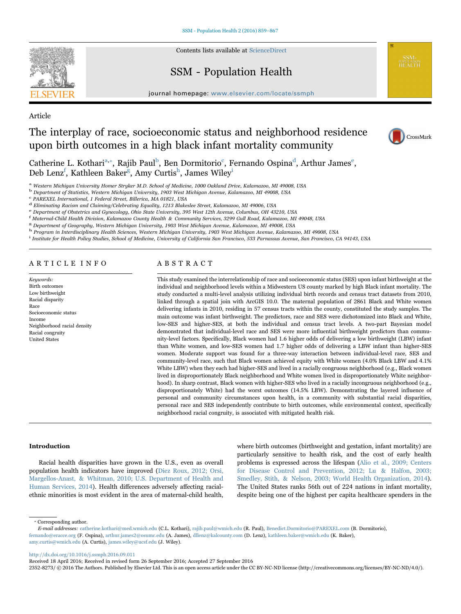

Contents lists available at [ScienceDirect](http://www.sciencedirect.com/science/journal/23528273)

## SSM - Population Health

journal homepage: [www.elsevier.com/locate/ssmph](http://www.elsevier.com/locate/ssmph)

## Article

# The interplay of race, socioeconomic status and neighborhood residence upon birth outcomes in a high black infant mortality community



C[a](#page-0-0)therine L. Kothari<sup>a,\*</sup>, Raji[b](#page-0-2) Paul<sup>b</sup>, Ben Dormitorio<sup>c</sup>, Fernan[d](#page-0-4)o Ospina<sup>d</sup>, Arthur Jam[e](#page-0-5)s<sup>e</sup>, Deb Lenz<sup>[f](#page-0-6)</sup>, Kathleen Baker<sup>g</sup>, Amy Curtis<sup>h</sup>, James Wiley<sup>i</sup>

<span id="page-0-0"></span><sup>a</sup> Western Michigan University Homer Stryker M.D. School of Medicine, 1000 Oakland Drive, Kalamazoo, MI 49008, USA

<span id="page-0-2"></span>b Department of Statistics, Western Michigan University, 1903 West Michigan Avenue, Kalamazoo, MI 49008, USA c PAREXEL International, 1 Federal Street, Billerica, MA 01821, USA

<span id="page-0-3"></span>

<span id="page-0-5"></span>

<span id="page-0-4"></span> $^{\rm d}$  Eliminating Racism and Claiming/Celebrating Equality, 1213 Blakeslee Street, Kalamazoo, MI 49006, USA e Department of Obstetrics and Gynecology, Ohio State University, 395 West 12th Avenue, Columbus, OH 43210, USA

<span id="page-0-6"></span><sup>f</sup> Maternal-Child Health Division, Kalamazoo County Health & Community Services, 3299 Gull Road, Kalamazoo, MI 49048, USA

<span id="page-0-7"></span><sup>g</sup> Department of Geography, Western Michigan University, 1903 West Michigan Avenue, Kalamazoo, MI 49008, USA

<span id="page-0-8"></span>h Program in Interdisciplinary Health Sciences, Western Michigan University, 1903 West Michigan Avenue, Kalamazoo, MI 49008, USA

<span id="page-0-9"></span><sup>i</sup> Institute for Health Policy Studies, School of Medicine, University of California San Francisco, 533 Parnassus Avenue, San Francisco, CA 94143, USA

## ARTICLE INFO

Keywords: Birth outcomes Low birthweight Racial disparity Race Socioeconomic status Income Neighborhood racial density Racial congruity United States

## ABSTRACT

This study examined the interrelationship of race and socioeconomic status (SES) upon infant birthweight at the individual and neighborhood levels within a Midwestern US county marked by high Black infant mortality. The study conducted a multi-level analysis utilizing individual birth records and census tract datasets from 2010, linked through a spatial join with ArcGIS 10.0. The maternal population of 2861 Black and White women delivering infants in 2010, residing in 57 census tracts within the county, constituted the study samples. The main outcome was infant birthweight. The predictors, race and SES were dichotomized into Black and White, low-SES and higher-SES, at both the individual and census tract levels. A two-part Bayesian model demonstrated that individual-level race and SES were more influential birthweight predictors than community-level factors. Specifically, Black women had 1.6 higher odds of delivering a low birthweight (LBW) infant than White women, and low-SES women had 1.7 higher odds of delivering a LBW infant than higher-SES women. Moderate support was found for a three-way interaction between individual-level race, SES and community-level race, such that Black women achieved equity with White women (4.0% Black LBW and 4.1% White LBW) when they each had higher-SES and lived in a racially congruous neighborhood (e.g., Black women lived in disproportionately Black neighborhood and White women lived in disproportionately White neighborhood). In sharp contrast, Black women with higher-SES who lived in a racially incongruous neighborhood (e.g., disproportionately White) had the worst outcomes (14.5% LBW). Demonstrating the layered influence of personal and community circumstances upon health, in a community with substantial racial disparities, personal race and SES independently contribute to birth outcomes, while environmental context, specifically neighborhood racial congruity, is associated with mitigated health risk.

#### Introduction

Racial health disparities have grown in the U.S., even as overall population health indicators have improved [\(Diez Roux, 2012; Orsi,](#page-7-0) [Margellos-Anast, & Whitman, 2010; U.S. Department of Health and](#page-7-0) [Human Services, 2014\)](#page-7-0). Health differences adversely affecting racialethnic minorities is most evident in the area of maternal-child health,

where birth outcomes (birthweight and gestation, infant mortality) are particularly sensitive to health risk, and the cost of early health problems is expressed across the lifespan [\(Alio et al., 2009; Centers](#page-6-0) [for Disease Control and Prevention, 2012; Lu & Halfon, 2003;](#page-6-0) [Smedley, Stith, & Nelson, 2003; World Health Organization, 2014\)](#page-6-0). The United States ranks 56th out of 224 nations in infant mortality, despite being one of the highest per capita healthcare spenders in the

<span id="page-0-1"></span>⁎ Corresponding author.

<http://dx.doi.org/10.1016/j.ssmph.2016.09.011>

Received 18 April 2016; Received in revised form 26 September 2016; Accepted 27 September 2016

2352-8273/ © 2016 The Authors. Published by Elsevier Ltd. This is an open access article under the CC BY-NC-ND license (http://creativecommons.org/licenses/BY-NC-ND/4.0/).

E-mail addresses: catherine.kothari@med.wmich.edu (C.L. Kothari), rajib.paul@wmich.edu (R. Paul), Benedict.Dormitorio@PAREXEL.com (B. Dormitorio), fernando@eracce.org (F. Ospina), arthur.james2@osumc.edu (A. James), dllenz@kalcounty.com (D. Lenz), kathleen.baker@wmich.edu (K. Baker), amy.curtis@wmich.edu (A. Curtis), james.wiley@ucsf.edu (J. Wiley).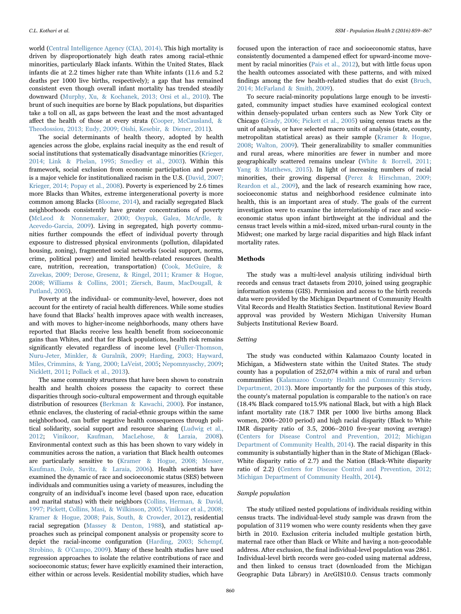world [\(Central Intelligence Agency \(CIA\), 2014\).](#page-7-1) This high mortality is driven by disproportionately high death rates among racial-ethnic minorities, particularly Black infants. Within the United States, Black infants die at 2.2 times higher rate than White infants (11.6 and 5.2 deaths per 1000 live births, respectively); a gap that has remained consistent even though overall infant mortality has trended steadily downward [\(Murphy, Xu, & Kochanek, 2013; Orsi et al., 2010\)](#page-7-2). The brunt of such inequities are borne by Black populations, but disparities take a toll on all, as gaps between the least and the most advantaged affect the health of those at every strata [\(Cooper, McCausland, &](#page-7-3) [Theodossiou, 2013; Eudy, 2009; Oishi, Kesebir, & Diener, 2011\)](#page-7-3).

The social determinants of health theory, adopted by health agencies across the globe, explains racial inequity as the end result of social institutions that systematically disadvantage minorities [\(Krieger,](#page-7-4) [2014; Link & Phelan, 1995; Smedley et al., 2003\)](#page-7-4). Within this framework, social exclusion from economic participation and power is a major vehicle for institutionalized racism in the U.S. ([David, 2007;](#page-7-5) [Krieger, 2014; Popay et al., 2008](#page-7-5)). Poverty is experienced by 2.6 times more Blacks than Whites, extreme intergenerational poverty is more common among Blacks ([Bloome, 2014](#page-6-1)), and racially segregated Black neighborhoods consistently have greater concentrations of poverty ([McLeod & Nonnemaker, 2000; Osypuk, Galea, McArdle, &](#page-7-6) [Acevedo-Garcia, 2009](#page-7-6)). Living in segregated, high poverty communities further compounds the effect of individual poverty through exposure to distressed physical environments (pollution, dilapidated housing, zoning), fragmented social networks (social support, norms, crime, political power) and limited health-related resources (health care, nutrition, recreation, transportation) [\(Cook, McGuire, &](#page-7-7) [Zuvekas, 2009; Derose, Gresenz, & Ringel, 2011; Kramer & Hogue,](#page-7-7) [2008; Williams & Collins, 2001; Ziersch, Baum, MacDougall, &](#page-7-7) [Putland, 2005](#page-7-7)).

Poverty at the individual- or community-level, however, does not account for the entirety of racial health differences. While some studies have found that Blacks' health improves apace with wealth increases, and with moves to higher-income neighborhoods, many others have reported that Blacks receive less health benefit from socioeconomic gains than Whites, and that for Black populations, health risk remains significantly elevated regardless of income level [\(Fuller-Thomson,](#page-7-8) [Nuru-Jeter, Minkler, & Guralnik, 2009; Harding, 2003; Hayward,](#page-7-8) [Miles, Crimmins, & Yang, 2000; LaVeist, 2005](#page-7-8); [Nepomnyaschy, 2009](#page-7-9); [Nicklett, 2011](#page-7-10); [Pollack et al., 2013](#page-8-0)).

The same community structures that have been shown to constrain health and health choices possess the capacity to correct these disparities through socio-cultural empowerment and through equitable distribution of resources [\(Berkman & Kawachi, 2000](#page-6-2)). For instance, ethnic enclaves, the clustering of racial-ethnic groups within the same neighborhood, can buffer negative health consequences through political solidarity, social support and resource sharing [\(Ludwig et al.,](#page-7-11) [2012;](#page-7-11) [Vinikoor, Kaufman, MacLehose, & Laraia, 2008\)](#page-8-1). Environmental context such as this has been shown to vary widely in communities across the nation, a variation that Black health outcomes are particularly sensitive to ([Kramer & Hogue, 2008; Messer,](#page-7-12) [Kaufman, Dole, Savitz, & Laraia, 2006](#page-7-12)). Health scientists have examined the dynamic of race and socioeconomic status (SES) between individuals and communities using a variety of measures, including the congruity of an individual's income level (based upon race, education and marital status) with their neighbors (Collins, [Herman, & David,](#page-7-13) [1997; Pickett, Collins, Masi, & Wilkinson, 2005; Vinikoor et al., 2008;](#page-7-13) [Kramer & Hogue, 2008; Pais, South, & Crowder, 2012\)](#page-7-13), residential racial segregation ([Massey & Denton, 1988\)](#page-7-14), and statistical approaches such as principal component analysis or propensity score to depict the racial-income configuration [\(Harding, 2003; Schempf,](#page-7-15) [Strobino, & O](#page-7-15)'Campo, 2009). Many of these health studies have used regression approaches to isolate the relative contributions of race and socioeconomic status; fewer have explicitly examined their interaction, either within or across levels. Residential mobility studies, which have

focused upon the interaction of race and socioeconomic status, have consistently documented a dampened effect for upward-income movement by racial minorities [\(Pais et al., 2012\)](#page-8-2), but with little focus upon the health outcomes associated with these patterns, and with mixed findings among the few health-related studies that do exist [\(Bruch,](#page-6-3) [2014; McFarland & Smith, 2009](#page-6-3)).

To secure racial-minority populations large enough to be investigated, community impact studies have examined ecological context within densely-populated urban centers such as New York City or Chicago ([Grady, 2006; Pickett et al., 2005\)](#page-7-16) using census tracts as the unit of analysis, or have selected macro units of analysis (state, county, metropolitan statistical areas) as their sample [\(Kramer & Hogue,](#page-7-12) [2008;](#page-7-12) [Walton, 2009\)](#page-8-3). Their generalizability to smaller communities and rural areas, where minorities are fewer in number and more geographically scattered remains unclear [\(White & Borrell, 2011;](#page-8-4) [Yang & Matthews, 2015\)](#page-8-4). In light of increasing numbers of racial minorities, their growing dispersal [\(Perez & Hirschman, 2009;](#page-8-5) [Reardon et al., 2009\)](#page-8-5), and the lack of research examining how race, socioeconomic status and neighborhood residence culminate into health, this is an important area of study. The goals of the current investigation were to examine the interrelationship of race and socioeconomic status upon infant birthweight at the individual and the census tract levels within a mid-sized, mixed urban-rural county in the Midwest; one marked by large racial disparities and high Black infant mortality rates.

## Methods

The study was a multi-level analysis utilizing individual birth records and census tract datasets from 2010, joined using geographic information systems (GIS). Permission and access to the birth records data were provided by the Michigan Department of Community Health Vital Records and Health Statistics Section. Institutional Review Board approval was provided by Western Michigan University Human Subjects Institutional Review Board.

#### Setting

The study was conducted within Kalamazoo County located in Michigan, a Midwestern state within the United States. The study county has a population of 252,074 within a mix of rural and urban communities ([Kalamazoo County Health and Community Services](#page-7-17) [Department, 2013](#page-7-17)). More importantly for the purposes of this study, the county's maternal population is comparable to the nation's on race (18.4% Black compared to15.9% national Black, but with a high Black infant mortality rate (18.7 IMR per 1000 live births among Black women, 2006–2010 period) and high racial disparity (Black to White IMR disparity ratio of 3.5, 2006–2010 five-year moving average) ([Centers for Disease Control and Prevention, 2012; Michigan](#page-6-4) [Department of Community Health, 2014\)](#page-6-4). The racial disparity in this community is substantially higher than in the State of Michigan (Black-White disparity ratio of 2.7) and the Nation (Black-White disparity ratio of 2.2) [\(Centers for Disease Control and Prevention, 2012;](#page-6-4) [Michigan Department of Community Health, 2014](#page-6-4)).

## Sample population

The study utilized nested populations of individuals residing within census tracts. The individual-level study sample was drawn from the population of 3119 women who were county residents when they gave birth in 2010. Exclusion criteria included multiple gestation birth, maternal race other than Black or White and having a non-geocodable address. After exclusion, the final individual-level population was 2861. Individual-level birth records were geo-coded using maternal address, and then linked to census tract (downloaded from the Michigan Geographic Data Library) in ArcGIS10.0. Census tracts commonly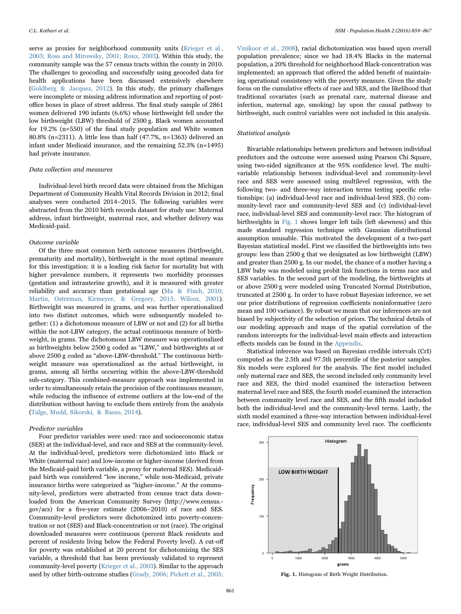serve as proxies for neighborhood community units [\(Krieger et al.,](#page-7-18) [2003; Ross and Mirowsky, 2001; Roux, 2003\)](#page-7-18). Within this study, the community sample was the 57 census tracts within the county in 2010. The challenges to geocoding and successfully using geocoded data for health applications have been discussed extensively elsewhere ([Goldberg & Jacquez, 2012\)](#page-7-19). In this study, the primary challenges were incomplete or missing address information and reporting of postoffice boxes in place of street address. The final study sample of 2861 women delivered 190 infants (6.6%) whose birthweight fell under the low birthweight (LBW) threshold of 2500 g. Black women accounted for 19.2% (n=550) of the final study population and White women 80.8% (n=2311). A little less than half (47.7%, n=1363) delivered an infant under Medicaid insurance, and the remaining 52.3% (n=1495) had private insurance.

## Data collection and measures

Individual-level birth record data were obtained from the Michigan Department of Community Health Vital Records Division in 2012; final analyses were conducted 2014–2015. The following variables were abstracted from the 2010 birth records dataset for study use: Maternal address, infant birthweight, maternal race, and whether delivery was Medicaid-paid.

#### Outcome variable

Of the three most common birth outcome measures (birthweight, prematurity and mortality), birthweight is the most optimal measure for this investigation: it is a leading risk factor for mortality but with higher prevalence numbers, it represents two morbidity processes (gestation and intrauterine growth), and it is measured with greater reliability and accuracy than gestational age [\(Ma & Finch, 2010;](#page-7-20) [Martin, Osterman, Kirmeyer, & Gregory, 2015; Wilcox, 2001\)](#page-7-20). Birthweight was measured in grams, and was further operationalized into two distinct outcomes, which were subsequently modeled together: (1) a dichotomous measure of LBW or not and (2) for all births within the not-LBW category, the actual continuous measure of birthweight, in grams. The dichotomous LBW measure was operationalized as birthweights below 2500 g coded as "LBW," and birthweights at or above 2500 g coded as "above-LBW-threshold." The continuous birthweight measure was operationalized as the actual birthweight, in grams, among all births occurring within the above-LBW-threshold sub-category. This combined-measure approach was implemented in order to simultaneously retain the precision of the continuous measure, while reducing the influence of extreme outliers at the low-end of the distribution without having to exclude them entirely from the analysis ([Talge, Mudd, Sikorski, & Basso, 2014\)](#page-8-6).

#### Predictor variables

Four predictor variables were used: race and socioeconomic status (SES) at the individual-level, and race and SES at the community-level. At the individual-level, predictors were dichotomized into Black or White (maternal race) and low-income or higher-income (derived from the Medicaid-paid birth variable, a proxy for maternal SES). Medicaidpaid birth was considered "low income," while non-Medicaid, private insurance births were categorized as "higher-income." At the community-level, predictors were abstracted from census tract data downloaded from the American Community Survey (http://www.census. gov/acs) for a five-year estimate (2006–2010) of race and SES. Community-level predictors were dichotomized into poverty-concentration or not (SES) and Black-concentration or not (race). The original downloaded measures were continuous (percent Black residents and percent of residents living below the Federal Poverty level). A cut-off for poverty was established at 20 percent for dichotomizing the SES variable, a threshold that has been previously validated to represent community-level poverty ([Krieger et al., 2003](#page-7-18)). Similar to the approach used by other birth-outcome studies [\(Grady, 2006; Pickett et al., 2005;](#page-7-16)

[Vinikoor et al., 2008\)](#page-7-16), racial dichotomization was based upon overall population prevalence; since we had 18.4% Blacks in the maternal population, a 20% threshold for neighborhood Black-concentration was implemented; an approach that offered the added benefit of maintaining operational consistency with the poverty measure. Given the study focus on the cumulative effects of race and SES, and the likelihood that traditional covariates (such as prenatal care, maternal disease and infection, maternal age, smoking) lay upon the causal pathway to birthweight, such control variables were not included in this analysis.

#### Statistical analysis

Bivariable relationships between predictors and between individual predictors and the outcome were assessed using Pearson Chi Square, using two-sided significance at the 95% confidence level. The multivariable relationship between individual-level and community-level race and SES were assessed using multilevel regression, with the following two- and three-way interaction terms testing specific relationships: (a) individual-level race and individual-level SES, (b) community-level race and community-level SES and (c) individual-level race, individual-level SES and community-level race. The histogram of birthweights in [Fig. 1](#page-2-0) shows longer left tails (left skewness) and this made standard regression technique with Gaussian distributional assumption unusable. This motivated the development of a two-part Bayesian statistical model. First we classified the birthweights into two groups: less than 2500 g that we designated as low birthweight (LBW) and greater than 2500 g. In our model, the chance of a mother having a LBW baby was modeled using probit link functions in terms race and SES variables. In the second part of the modeling, the birthweights at or above 2500 g were modeled using Truncated Normal Distribution, truncated at 2500 g. In order to have robust Bayesian inference, we set our prior distributions of regression coefficients noninformative (zero mean and 100 variance). By robust we mean that our inferences are not biased by subjectivity of the selection of priors. The technical details of our modeling approach and maps of the spatial correlation of the random intercepts for the individual-level main effects and interaction effects models can be found in the Appendix.

Statistical inference was based on Bayesian credible intervals (CrI) computed as the 2.5th and 97.5th percentile of the posterior samples. Six models were explored for the analysis. The first model included only maternal race and SES, the second included only community level race and SES, the third model examined the interaction between maternal level race and SES, the fourth model examined the interaction between community level race and SES, and the fifth model included both the individual-level and the community-level terms. Lastly, the sixth model examined a three-way interaction between individual-level race, individual-level SES and community level race. The coefficients

<span id="page-2-0"></span>

Fig. 1. Histogram of Birth Weight Distribution.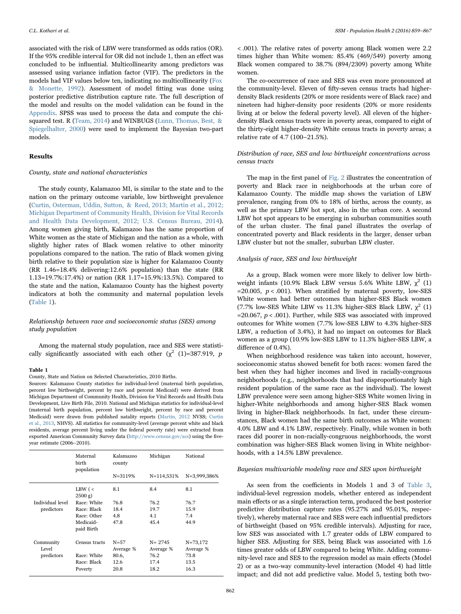associated with the risk of LBW were transformed as odds ratios (OR). If the 95% credible interval for OR did not include 1, then an effect was concluded to be influential. Multicollinearity among predictors was assessed using variance inflation factor (VIF). The predictors in the models had VIF values below ten, indicating no multicollinearity ([Fox](#page-7-21) [& Monette, 1992](#page-7-21)). Assessment of model fitting was done using posterior predictive distribution capture rate. The full description of the model and results on the model validation can be found in the Appendix. SPSS was used to process the data and compute the chi-squared test. R ([Team, 2014\)](#page-8-7) and WINBUGS ([Lunn, Thomas, Best, &](#page-7-22) [Spiegelhalter, 2000\)](#page-7-22) were used to implement the Bayesian two-part models.

#### Results

#### County, state and national characteristics

The study county, Kalamazoo MI, is similar to the state and to the nation on the primary outcome variable, low birthweight prevalence ([Curtin, Osterman, Uddin, Sutton, & Reed, 2013; Martin et al., 2012;](#page-7-23) [Michigan Department of Community Health, Division for Vital Records](#page-7-23) [and Health Data Development, 2012; U.S. Census Bureau, 2014\)](#page-7-23). Among women giving birth, Kalamazoo has the same proportion of White women as the state of Michigan and the nation as a whole, with slightly higher rates of Black women relative to other minority populations compared to the nation. The ratio of Black women giving birth relative to their population size is higher for Kalamazoo County (RR 1.46=18.4% delivering:12.6% population) than the state (RR 1.13=19.7%:17.4%) or nation (RR 1.17=15.9%:13.5%). Compared to the state and the nation, Kalamazoo County has the highest poverty indicators at both the community and maternal population levels ([Table 1](#page-3-0)).

## Relationship between race and socioeconomic status (SES) among study population

Among the maternal study population, race and SES were statistically significantly associated with each other  $(\chi^2 \text{ (1)}=387.919, p$ 

#### <span id="page-3-0"></span>Table 1

County, State and Nation on Selected Characteristics, 2010 Births.

Sources: Kalamazoo County statistics for individual-level (maternal birth population, percent low birthweight, percent by race and percent Medicaid) were derived from Michigan Department of Community Health, Division for Vital Records and Health Data Development, Live Birth File, 2010. National and Michigan statistics for individual-level (maternal birth population, percent low birthweight, percent by race and percent Medicaid) were drawn from published natality reports ([Martin, 2012](#page-7-24) NVSS; [Curtin](#page-7-23) [et al., 2013,](#page-7-23) NHVS). All statistics for community-level (average percent white and black residents, average percent living under the federal poverty rate) were extracted from exported American Community Survey data (http://www.census.gov/acs) using the fiveyear estimate (2006–2010).

|                                | Maternal<br>birth<br>population | Kalamazoo<br>county   | Michigan                | National                  |  |
|--------------------------------|---------------------------------|-----------------------|-------------------------|---------------------------|--|
|                                |                                 | N=3119%               | N=114,531%              | N=3,999,386%              |  |
|                                | LBW ( $\lt$<br>$2500 g$ )       | 8.1                   | 8.4                     | 8.1                       |  |
| Individual level<br>predictors | Race: White                     | 76.8                  | 76.2                    | 76.7                      |  |
|                                | Race: Black                     | 18.4                  | 19.7                    | 15.9                      |  |
|                                | Race: Other                     | 4.8                   | 4.1                     | 7.4                       |  |
|                                | Medicaid-<br>paid Birth         | 47.8                  | 45.4                    | 44.9                      |  |
| Community<br>Level             | Census tracts                   | $N = 57$<br>Average % | $N = 2745$<br>Average % | $N = 73,172$<br>Average % |  |
| predictors                     | Race: White                     | 80.6,                 | 76.2                    | 73.8                      |  |
|                                | Race: Black                     | 12.6                  | 17.4                    | 13.5                      |  |
|                                | Poverty                         | 20.8                  | 18.2                    | 16.3                      |  |

< .001). The relative rates of poverty among Black women were 2.2 times higher than White women: 85.4% (469/549) poverty among Black women compared to 38.7% (894/2309) poverty among White women.

The co-occurrence of race and SES was even more pronounced at the community-level. Eleven of fifty-seven census tracts had higherdensity Black residents (20% or more residents were of Black race) and nineteen had higher-density poor residents (20% or more residents living at or below the federal poverty level). All eleven of the higherdensity Black census tracts were in poverty areas, compared to eight of the thirty-eight higher-density White census tracts in poverty areas; a relative rate of 4.7 (100–21.5%).

## Distribution of race, SES and low birthweight concentrations across census tracts

The map in the first panel of [Fig. 2](#page-4-0) illustrates the concentration of poverty and Black race in neighborhoods at the urban core of Kalamazoo County. The middle map shows the variation of LBW prevalence, ranging from 0% to 18% of births, across the county, as well as the primary LBW hot spot, also in the urban core. A second LBW hot spot appears to be emerging in suburban communities south of the urban cluster. The final panel illustrates the overlap of concentrated poverty and Black residents in the larger, denser urban LBW cluster but not the smaller, suburban LBW cluster.

#### Analysis of race, SES and low birthweight

As a group, Black women were more likely to deliver low birthweight infants (10.9% Black LBW versus 5.6% White LBW,  $\chi^2$  (1) =20.005,  $p < .001$ ). When stratified by maternal poverty, low-SES White women had better outcomes than higher-SES Black women (7.7% low-SES White LBW vs 11.3% higher-SES Black LBW,  $\chi^2$  (1)  $=20.067$ ,  $p < .001$ ). Further, while SES was associated with improved outcomes for White women (7.7% low-SES LBW to 4.3% higher-SES LBW, a reduction of 3.4%), it had no impact on outcomes for Black women as a group (10.9% low-SES LBW to 11.3% higher-SES LBW, a difference of 0.4%).

When neighborhood residence was taken into account, however, socioeconomic status showed benefit for both races: women fared the best when they had higher incomes and lived in racially-congruous neighborhoods (e.g., neighborhoods that had disproportionately high resident population of the same race as the individual). The lowest LBW prevalence were seen among higher-SES White women living in higher-White neighborhoods and among higher-SES Black women living in higher-Black neighborhoods. In fact, under these circumstances, Black women had the same birth outcomes as White women: 4.0% LBW and 4.1% LBW, respectively. Finally, while women in both races did poorer in non-racially-congruous neighborhoods, the worst combination was higher-SES Black women living in White neighborhoods, with a 14.5% LBW prevalence.

#### Bayesian multivariable modeling race and SES upon birthweight

As seen from the coefficients in Models 1 and 3 of [Table 3](#page-5-0), individual-level regression models, whether entered as independent main effects or as a single interaction term, produced the best posterior predictive distribution capture rates (95.27% and 95.01%, respectively), whereby maternal race and SES were each influential predictors of birthweight (based on 95% credible intervals). Adjusting for race, low SES was associated with 1.7 greater odds of LBW compared to higher SES. Adjusting for SES, being Black was associated with 1.6 times greater odds of LBW compared to being White. Adding community-level race and SES to the regression model as main effects (Model 2) or as a two-way community-level interaction (Model 4) had little impact; and did not add predictive value. Model 5, testing both two-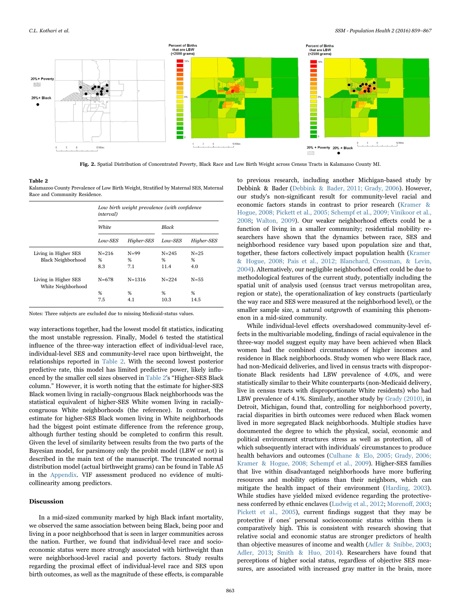<span id="page-4-0"></span>

Fig. 2. Spatial Distribution of Concentrated Poverty, Black Race and Low Birth Weight across Census Tracts in Kalamazoo County MI.

<span id="page-4-1"></span>Table 2

Kalamazoo County Prevalence of Low Birth Weight, Stratified by Maternal SES, Maternal Race and Community Residence.

|                                                   | Low birth weight prevalence (with confidence<br><i>interval</i> ) |                         |                        |                       |  |  |
|---------------------------------------------------|-------------------------------------------------------------------|-------------------------|------------------------|-----------------------|--|--|
|                                                   | <b>White</b>                                                      |                         | Black                  |                       |  |  |
|                                                   | Low-SES                                                           | Higher-SES              | Low-SES                | Higher-SES            |  |  |
| Living in Higher SES<br><b>Black Neighborhood</b> | $N = 216$<br>%<br>8.3                                             | $N = 99$<br>%<br>7.1    | $N = 245$<br>%<br>11.4 | $N = 25$<br>%<br>4.0  |  |  |
| Living in Higher SES<br>White Neighborhood        | $N = 678$<br>%<br>7.5                                             | $N = 1.316$<br>%<br>4.1 | $N = 224$<br>%<br>10.3 | $N = 55$<br>%<br>14.5 |  |  |

Notes: Three subjects are excluded due to missing Medicaid-status values.

way interactions together, had the lowest model fit statistics, indicating the most unstable regression. Finally, Model 6 tested the statistical influence of the three-way interaction effect of individual-level race, individual-level SES and community-level race upon birthweight, the relationships reported in [Table 2.](#page-4-1) With the second lowest posterior predictive rate, this model has limited predictive power, likely influenced by the smaller cell sizes observed in [Table 2](#page-4-1)'s "Higher-SES Black column." However, it is worth noting that the estimate for higher-SES Black women living in racially-congruous Black neighborhoods was the statistical equivalent of higher-SES White women living in raciallycongruous White neighborhoods (the reference). In contrast, the estimate for higher-SES Black women living in White neighborhoods had the biggest point estimate difference from the reference group, although further testing should be completed to confirm this result. Given the level of similarity between results from the two parts of the Bayesian model, for parsimony only the probit model (LBW or not) is described in the main text of the manuscript. The truncated normal distribution model (actual birthweight grams) can be found in Table A5 in the Appendix. VIF assessment produced no evidence of multicollinearity among predictors.

## Discussion

In a mid-sized community marked by high Black infant mortality, we observed the same association between being Black, being poor and living in a poor neighborhood that is seen in larger communities across the nation. Further, we found that individual-level race and socioeconomic status were more strongly associated with birthweight than were neighborhood-level racial and poverty factors. Study results regarding the proximal effect of individual-level race and SES upon birth outcomes, as well as the magnitude of these effects, is comparable

to previous research, including another Michigan-based study by Debbink & Bader ([Debbink & Bader, 2011; Grady, 2006\)](#page-7-25). However, our study's non-significant result for community-level racial and economic factors stands in contrast to prior research [\(Kramer &](#page-7-12) [Hogue, 2008; Pickett et al., 2005; Schempf et al., 2009; Vinikoor et al.,](#page-7-12) [2008;](#page-7-12) [Walton, 2009](#page-8-3)). Our weaker neighborhood effects could be a function of living in a smaller community; residential mobility researchers have shown that the dynamics between race, SES and neighborhood residence vary based upon population size and that, together, these factors collectively impact population health [\(Kramer](#page-7-12) [& Hogue, 2008; Pais et al., 2012; Blanchard, Crossman, & Levin,](#page-7-12) [2004\)](#page-7-12). Alternatively, our negligible neighborhood effect could be due to methodological features of the current study, potentially including the spatial unit of analysis used (census tract versus metropolitan area, region or state), the operationalization of key constructs (particularly the way race and SES were measured at the neighborhood level), or the smaller sample size, a natural outgrowth of examining this phenomenon in a mid-sized community.

While individual-level effects overshadowed community-level effects in the multivariable modeling, findings of racial equivalence in the three-way model suggest equity may have been achieved when Black women had the combined circumstances of higher incomes and residence in Black neighborhoods. Study women who were Black race, had non-Medicaid deliveries, and lived in census tracts with disproportionate Black residents had LBW prevalence of 4.0%, and were statistically similar to their White counterparts (non-Medicaid delivery, live in census tracts with disproportionate White residents) who had LBW prevalence of 4.1%. Similarly, another study by [Grady \(2010\)](#page-7-26), in Detroit, Michigan, found that, controlling for neighborhood poverty, racial disparities in birth outcomes were reduced when Black women lived in more segregated Black neighborhoods. Multiple studies have documented the degree to which the physical, social, economic and political environment structures stress as well as protection, all of which subsequently interact with individuals' circumstances to produce health behaviors and outcomes ([Culhane & Elo, 2005; Grady, 2006;](#page-7-27) [Kramer & Hogue, 2008; Schempf et al., 2009\)](#page-7-27). Higher-SES families that live within disadvantaged neighborhoods have more buffering resources and mobility options than their neighbors, which can mitigate the health impact of their environment [\(Harding, 2003\)](#page-7-15). While studies have yielded mixed evidence regarding the protectiveness conferred by ethnic enclaves ([Ludwig et al., 2012;](#page-7-11) [Moreno](#page-7-28)ff, 2003; [Pickett et al., 2005](#page-8-8)), current findings suggest that they may be protective if ones' personal socioeconomic status within them is comparatively high. This is consistent with research showing that relative social and economic status are stronger predictors of health than objective measures of income and wealth ([Adler & Snibbe, 2003](#page-6-5); [Adler, 2013;](#page-6-6) [Smith & Huo, 2014\)](#page-8-9). Researchers have found that perceptions of higher social status, regardless of objective SES measures, are associated with increased gray matter in the brain, more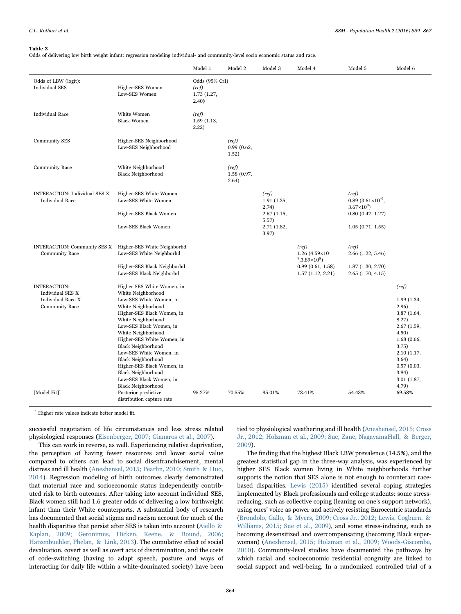#### <span id="page-5-0"></span>Table 3

Odds of delivering low birth weight infant: regression modeling individual- and community-level socio economic status and race.

|                                                                                              |                                                                                                                                                                                                                                                                                                                                                                                                                                              | Model 1                                        | Model 2                       | Model 3                                        | Model 4                                           | Model 5                                                           | Model 6                                                                                                                                                                    |
|----------------------------------------------------------------------------------------------|----------------------------------------------------------------------------------------------------------------------------------------------------------------------------------------------------------------------------------------------------------------------------------------------------------------------------------------------------------------------------------------------------------------------------------------------|------------------------------------------------|-------------------------------|------------------------------------------------|---------------------------------------------------|-------------------------------------------------------------------|----------------------------------------------------------------------------------------------------------------------------------------------------------------------------|
| Odds of LBW (logit):<br><b>Individual SES</b>                                                | Higher-SES Women<br>Low-SES Women                                                                                                                                                                                                                                                                                                                                                                                                            | Odds (95% CrI)<br>(ref)<br>1.73 (1.27,<br>2.40 |                               |                                                |                                                   |                                                                   |                                                                                                                                                                            |
| <b>Individual Race</b>                                                                       | White Women<br><b>Black Women</b>                                                                                                                                                                                                                                                                                                                                                                                                            | (ref)<br>1.59(1.13,<br>2.22)                   |                               |                                                |                                                   |                                                                   |                                                                                                                                                                            |
| <b>Community SES</b>                                                                         | Higher-SES Neighborhood<br>Low-SES Neighborhood                                                                                                                                                                                                                                                                                                                                                                                              |                                                | (ref)<br>0.99(0.62,<br>1.52)  |                                                |                                                   |                                                                   |                                                                                                                                                                            |
| <b>Community Race</b>                                                                        | White Neighborhood<br><b>Black Neighborhood</b>                                                                                                                                                                                                                                                                                                                                                                                              |                                                | (ref)<br>1.58 (0.97,<br>2.64) |                                                |                                                   |                                                                   |                                                                                                                                                                            |
| <b>INTERACTION: Individual SES X</b><br><b>Individual Race</b>                               | Higher-SES White Women<br>Low-SES White Women                                                                                                                                                                                                                                                                                                                                                                                                |                                                |                               | (ref)<br>1.91(1.35,<br>2.74)                   |                                                   | (ref)<br>$0.89$ $(3.61 \times 10^{-9})$ ,<br>$3.67\times10^{8}$ ) |                                                                                                                                                                            |
|                                                                                              | Higher-SES Black Women<br>Low-SES Black Women                                                                                                                                                                                                                                                                                                                                                                                                |                                                |                               | 2.67(1.15,<br>$5.57$ )<br>2.71 (1.82,<br>3.97) |                                                   | 0.80(0.47, 1.27)<br>1.05(0.71, 1.55)                              |                                                                                                                                                                            |
| <b>INTERACTION: Community SES X</b><br><b>Community Race</b>                                 | Higher-SES White Neighborhd<br>Low-SES White Neighborhd                                                                                                                                                                                                                                                                                                                                                                                      |                                                |                               |                                                | (ref)<br>$1.26$ (4.59×10)<br>$9,3.89\times10^{8}$ | (ref)<br>$2.66$ $(1.22, 5.46)$                                    |                                                                                                                                                                            |
|                                                                                              | Higher-SES Black Neighborhd<br>Low-SES Black Neighborhd                                                                                                                                                                                                                                                                                                                                                                                      |                                                |                               |                                                | 0.99(0.61, 1.58)<br>1.57(1.12, 2.21)              | 1.87(1.30, 2.70)<br>2.65(1.70, 4.15)                              |                                                                                                                                                                            |
| <b>INTERACTION:</b><br>Individual SES X<br><b>Individual Race X</b><br><b>Community Race</b> | Higher SES White Women, in<br>White Neighborhood<br>Low-SES White Women, in<br>White Neighborhood<br>Higher-SES Black Women, in<br>White Neighborhood<br>Low-SES Black Women, in<br>White Neighborhood<br>Higher-SES White Women, in<br><b>Black Neighborhood</b><br>Low-SES White Women, in<br><b>Black Neighborhood</b><br>Higher-SES Black Women, in<br><b>Black Neighborhood</b><br>Low-SES Black Women, in<br><b>Black Neighborhood</b> |                                                |                               |                                                |                                                   |                                                                   | (ref)<br>1.99 (1.34,<br>2.96)<br>3.87(1.64,<br>8.27)<br>2.67 (1.59,<br>4.50)<br>1.68(0.66,<br>3.75)<br>2.10 (1.17,<br>3.64)<br>0.57(0.03,<br>3.84)<br>3.01 (1.87,<br>4.79) |
| [Model Fit]                                                                                  | Posterior predictive<br>distribution capture rate                                                                                                                                                                                                                                                                                                                                                                                            | 95.27%                                         | 70.55%                        | 95.01%                                         | 73.41%                                            | 54.43%                                                            | 69.58%                                                                                                                                                                     |

\* Higher rate values indicate better model fit.

successful negotiation of life circumstances and less stress related physiological responses ([Eisenberger, 2007; Gianaros et al., 2007](#page-7-29)).

This can work in reverse, as well. Experiencing relative deprivation, the perception of having fewer resources and lower social value compared to others can lead to social disenfranchisement, mental distress and ill health [\(Aneshensel, 2015; Pearlin, 2010; Smith & Huo,](#page-6-7) [2014\)](#page-6-7). Regression modeling of birth outcomes clearly demonstrated that maternal race and socioeconomic status independently contributed risk to birth outcomes. After taking into account individual SES, Black women still had 1.6 greater odds of delivering a low birthweight infant than their White counterparts. A substantial body of research has documented that social stigma and racism account for much of the health disparities that persist after SES is taken into account [\(Aiello &](#page-6-8) [Kaplan, 2009; Geronimus, Hicken, Keene, & Bound, 2006;](#page-6-8) [Hatzenbuehler, Phelan, & Link, 2013](#page-6-8)). The cumulative effect of social devaluation, covert as well as overt acts of discrimination, and the costs of code-switching (having to adapt speech, posture and ways of interacting for daily life within a white-dominated society) have been

tied to physiological weathering and ill health ([Aneshensel, 2015; Cross](#page-6-7) [Jr., 2012; Holzman et al., 2009; Sue, Zane, NagayamaHall, & Berger,](#page-6-7) [2009\)](#page-6-7).

The finding that the highest Black LBW prevalence (14.5%), and the greatest statistical gap in the three-way analysis, was experienced by higher SES Black women living in White neighborhoods further supports the notion that SES alone is not enough to counteract racebased disparities. [Lewis \(2015\)](#page-7-30) identified several coping strategies implemented by Black professionals and college students: some stressreducing, such as collective coping (leaning on one's support network), using ones' voice as power and actively resisting Eurocentric standards ([Brondolo, Gallo, & Myers, 2009; Cross Jr., 2012; Lewis, Cogburn, &](#page-6-9) [Williams, 2015; Sue et al., 2009\)](#page-6-9), and some stress-inducing, such as becoming desensitized and overcompensating (becoming Black superwoman) ([Aneshensel, 2015; Holzman et al., 2009; Woods-Giscombe,](#page-6-7) [2010\)](#page-6-7). Community-level studies have documented the pathways by which racial and socioeconomic residential congruity are linked to social support and well-being. In a randomized controlled trial of a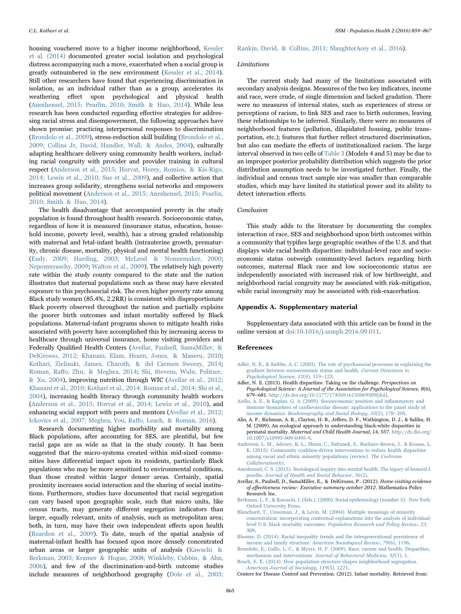housing vouchered move to a higher income neighborhood, [Kessler](#page-7-31) [et al. \(2014\)](#page-7-31) documented greater social isolation and psychological distress accompanying such a move, exacerbated when a social group is greatly outnumbered in the new environment [\(Kessler et al., 2014\)](#page-7-31). Still other researchers have found that experiencing discrimination in isolation, as an individual rather than as a group, accelerates its weathering effect upon psychological and physical health ([Aneshensel, 2015; Pearlin, 2010; Smith & Huo, 2014](#page-6-7)). While less research has been conducted regarding effective strategies for addressing racial stress and disempowerment, the following approaches have shown promise: practicing interpersonal responses to discrimination ([Brondolo et al., 2009\)](#page-6-9), stress-reduction skill building ([Brondolo et al.,](#page-6-9) [2009; Collins Jr, David, Handler, Wall, & Andes, 2004](#page-6-9)), culturally adapting healthcare delivery using community health workers, including racial congruity with provider and provider training in cultural respect [\(Anderson et al., 2015; Horvat, Horey, Romios, & Kis-Rigo,](#page-6-10) [2014; Lewin et al., 2010; Sue et al., 2009](#page-6-10)), and collective action that increases group solidarity, strengthens social networks and empowers political movement ([Anderson et al., 2015; Aneshensel, 2015; Pearlin,](#page-6-10) [2010; Smith & Huo, 2014](#page-6-10)).

The health disadvantage that accompanied poverty in the study population is found throughout health research. Socioeconomic status, regardless of how it is measured (insurance status, education, household income, poverty level, wealth), has a strong graded relationship with maternal and fetal-infant health (intrauterine growth, prematurity, chronic disease, mortality, physical and mental health functioning) ([Eudy, 2009; Harding, 2003; McLeod & Nonnemaker, 2000](#page-7-32); [Nepomnyaschy, 2009](#page-7-9); [Walton et al., 2009](#page-8-10)). The relatively high poverty rate within the study county compared to the state and the nation illustrates that maternal populations such as these may have elevated exposure to this psychosocial risk. The even higher poverty rate among Black study women (85.4%, 2.2RR) is consistent with disproportionate Black poverty observed throughout the nation and partially explains the poorer birth outcomes and infant mortality suffered by Black populations. Maternal-infant programs shown to mitigate health risks associated with poverty have accomplished this by increasing access to healthcare through universal insurance, home visiting providers and Federally Qualified Health Centers ([Avellar, Paulsell, SamaMiller, &](#page-6-11) [DelGrosso, 2012; Khanani, Elam, Hearn, Jones, & Maseru, 2010](#page-6-11); [Kothari, Zielinski, James, Charoth, & del Carmen Sweezy, 2014](#page-7-33); Roman, Raff[o, Zhu, & Meghea, 2014;](#page-8-11) [Shi, Stevens, Wulu, Politzer,](#page-8-12) [& Xu, 2004](#page-8-12)), improving nutrition through WIC ([Avellar et al., 2012;](#page-6-11) [Khanani et al., 2010; Kothari et al., 2014; Roman et al., 2014; Shi et al.,](#page-6-11) [2004\)](#page-6-11), increasing health literacy through community health workers ([Anderson et al., 2015; Horvat et al., 2014; Lewin et al., 2010](#page-6-10)), and enhancing social support with peers and mentors ([Avellar et al., 2012;](#page-6-11) [Ickovics et al., 2007; Meghea, You, Ra](#page-6-11)ffo, Leach, & Roman, 2016).

Research documenting higher morbidity and mortality among Black populations, after accounting for SES, are plentiful, but few racial gaps are as wide as that in the study county. It has been suggested that the micro-systems created within mid-sized communities have differential impact upon its residents, particularly Black populations who may be more sensitized to environmental conditions, than those created within larger denser areas. Certainly, spatial proximity increases social interaction and the sharing of social institutions. Furthermore, studies have documented that racial segregation can vary based upon geographic scale, such that micro units, like census tracts, may generate different segregation indicators than larger, equally relevant, units of analysis, such as metropolitan area; both, in turn, may have their own independent effects upon health ([Reardon et al., 2009\)](#page-8-13). To date, much of the spatial analysis of maternal-infant health has focused upon more densely concentrated urban areas or larger geographic units of analysis [\(Kawachi &](#page-7-34) [Berkman, 2003; Kramer & Hogue, 2008; Winkleby, Cubbin, & Ahn,](#page-7-34) [2006\)](#page-7-34), and few of the discrimination-and-birth outcome studies include measures of neighborhood geography ([Dole et al., 2003;](#page-7-35)

[Rankin, David, & Collins, 2011; SlaughterAcey et al., 2016](#page-7-35)).

#### Limitations

The current study had many of the limitations associated with secondary analysis designs. Measures of the two key indicators, income and race, were crude, of single dimension and lacked gradation. There were no measures of internal states, such as experiences of stress or perceptions of racism, to link SES and race to birth outcomes, leaving these relationships to be inferred. Similarly, there were no measures of neighborhood features (pollution, dilapidated housing, public transportation, etc.); features that further reflect structured discrimination, but also can mediate the effects of institutionalized racism. The large interval observed in two cells of [Table 3](#page-5-0) (Models 4 and 5) may be due to an improper posterior probability distribution which suggests the prior distribution assumption needs to be investigated further. Finally, the individual and census tract sample size was smaller than comparable studies, which may have limited its statistical power and its ability to detect interaction effects.

#### Conclusion

This study adds to the literature by documenting the complex interaction of race, SES and neighborhood upon birth outcomes within a community that typifies large geographic swathes of the U.S. and that displays wide racial health disparities: individual-level race and socioeconomic status outweigh community-level factors regarding birth outcomes, maternal Black race and low socioeconomic status are independently associated with increased risk of low birthweight, and neighborhood racial congruity may be associated with risk-mitigation, while racial incongruity may be associated with risk-exacerbation.

## Appendix A. Supplementary material

Supplementary data associated with this article can be found in the online version at [doi:10.1016/j.ssmph.2016.09.011](http://dx.doi.org/10.1016/j.ssmph.2016.09.011).

#### References

- <span id="page-6-5"></span>[Adler, N. E., & Snibbe, A. C. \(2003\). The role of psychosocial processes in explaining the](http://refhub.elsevier.com/S2352-16)30086-sbref1) [gradient between socioeconomic status and health.](http://refhub.elsevier.com/S2352-16)30086-sbref1) Current Directions in [Psychological Science](http://refhub.elsevier.com/S2352-16)30086-sbref1), 12(4), 119–123.
- <span id="page-6-6"></span>Adler, N. E. (2013). Health disparities: Taking on the challenge. Perspectives on Psychological Science: A Journal of the Association for Psychological Science, 8(6), 679–681. [http://dx.doi.org/10.1177/17456916135069509\[doi\]](http://dx.doi.org/10.1177/17456916135069509[doi]).
- <span id="page-6-8"></span>[Aiello, A. E., & Kaplan, G. A. \(2009\). Socioeconomic position and in](http://refhub.elsevier.com/S2352-16)30086-sbref3)flammatory and [immune biomarkers of cardiovascular disease: applications to the panel study of](http://refhub.elsevier.com/S2352-16)30086-sbref3) income dynamics. [Biodemography and Social Biology](http://refhub.elsevier.com/S2352-16)30086-sbref3), 55(2), 178–205.
- <span id="page-6-0"></span>Alio, A. P., Richman, A. R., Clayton, H. B., Jeffers, D. F., Wathington, D. J., & Salihu, H. M. (2009). An ecological approach to understanding black-white disparities in perinatal mortality. Maternal and Child Health Journal, 14, 557. [http://dx.doi.org/](http://dx.doi.org/10.1007/s10995-0495-,0,0,2) [10.1007/s10995-009-0495-9](http://dx.doi.org/10.1007/s10995-0495-,0,0,2).
- <span id="page-6-10"></span>[Anderson, L. M., Adeney, K. L., Shinn, C., Safranek, S., Buckner-Brown, J., & Krause, L.](http://refhub.elsevier.com/S2352-16)30086-sbref5) [K. \(2015\). Community coalition-driven interventions to reduce health disparities](http://refhub.elsevier.com/S2352-16)30086-sbref5) [among racial and ethnic minority populations \(review\).](http://refhub.elsevier.com/S2352-16)30086-sbref5) The Cochrane [Collaboration](http://refhub.elsevier.com/S2352-16)30086-sbref5)(6).
- <span id="page-6-7"></span>[Aneshensel, C. S. \(2015\). Sociological inquiry into mental health: The legacy of leonard I.](http://refhub.elsevier.com/S2352-16)30086-sbref6) pearlin. [Journal of Health and Social Behavior](http://refhub.elsevier.com/S2352-16)30086-sbref6), 56(2).
- <span id="page-6-11"></span>Avellar, S., Paulsell, D., SamaMiller, E., & DelGrosso, P.. (2012). Home visiting evidence of effectiveness review: Executive summary october 2012. Mathematica Policy Research Inc.
- <span id="page-6-2"></span>[Berkman, L. F., & Kawachi, I. \(Eds.\). \(2000\). Social epidemiology \(number 5\). New York:](http://refhub.elsevier.com/S2352-16)30086-sbref7) [Oxford University Press.](http://refhub.elsevier.com/S2352-16)30086-sbref7)
- [Blanchard, T., Crossman, J., & Levin, M. \(2004\). Multiple meanings of minority](http://refhub.elsevier.com/S2352-16)30086-sbref8) [concentration: incorporating contextual explanations into the analysis of individual](http://refhub.elsevier.com/S2352-16)30086-sbref8)level U.S. black mortality outcomes. [Population Research and Policy Review](http://refhub.elsevier.com/S2352-16)30086-sbref8), 23, [309](http://refhub.elsevier.com/S2352-16)30086-sbref8).
- <span id="page-6-1"></span>[Bloome, D. \(2014\). Racial inequality trends and the intergenerational persistence of](http://refhub.elsevier.com/S2352-16)30086-sbref9) income and family structure. [American Sociological Review](http://refhub.elsevier.com/S2352-16)30086-sbref9), 79(6), 1196.
- <span id="page-6-9"></span>[Brondolo, E., Gallo, L. C., & Myers, H. F. \(2009\). Race, racism and health: Disparities,](http://refhub.elsevier.com/S2352-16)30086-sbref10) mechanism and interventions. [Journal of Behavioral Medicine](http://refhub.elsevier.com/S2352-16)30086-sbref10), 32(1), 1. [Bruch, E. E. \(2014\). How population structure shapes neighborhood segregation.](http://refhub.elsevier.com/S2352-16)30086-sbref11)

<span id="page-6-4"></span><span id="page-6-3"></span>[American Journal of Sociology](http://refhub.elsevier.com/S2352-16)30086-sbref11), 119(5), 1221. Centers for Disease Control and Prevention. (2012). Infant mortality. Retrieved from: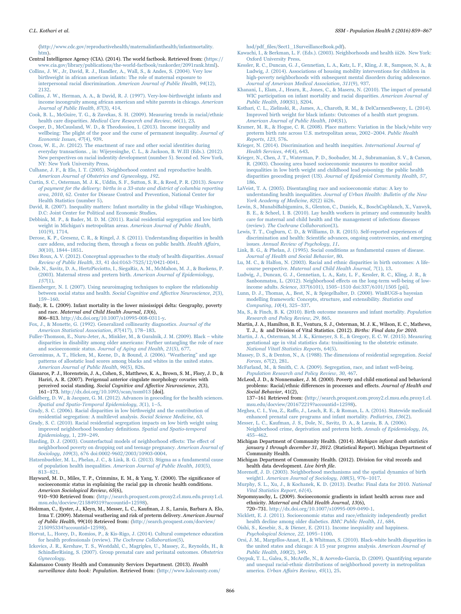〈[http://www.cdc.gov/reproductivehealth/maternalinfanthealth/infantmortality.](http://www.cdc.gov/reproductivehealth/maternalinfanthealth/infantmortality.htm) [htm](http://www.cdc.gov/reproductivehealth/maternalinfanthealth/infantmortality.htm)〉.

- <span id="page-7-1"></span>Central Intelligence Agency (CIA). (2014). The world factbook. Retrieved from: 〈[https://](https://www.cia.gov/library/publications/the-orldactbook/rankorder/2091rank.html) [www.cia.gov/library/publications/the-world-factbook/rankorder/2091rank.html](https://www.cia.gov/library/publications/the-orldactbook/rankorder/2091rank.html)〉.
- [Collins, J. W., Jr, David, R. J., Handler, A., Wall, S., & Andes, S. \(2004\). Very low](http://refhub.elsevier.com/S2352-16)30086-sbref12) [birthweight in african american infants: The role of maternal exposure to](http://refhub.elsevier.com/S2352-16)30086-sbref12) interpersonal racial discrimination. [American Journal of Public Health](http://refhub.elsevier.com/S2352-16)30086-sbref12), 94(12), [2132.](http://refhub.elsevier.com/S2352-16)30086-sbref12)
- <span id="page-7-13"></span>[Collins, J. W., Herman, A. A., & David, R. J. \(1997\). Very-low-birthweight infants and](http://refhub.elsevier.com/S2352-16)30086-sbref13) [income incongruity among african american and white parents in chicago.](http://refhub.elsevier.com/S2352-16)30086-sbref13) American [Journal of Public Health](http://refhub.elsevier.com/S2352-16)30086-sbref13), 87(3), 414.
- <span id="page-7-7"></span>[Cook, B. L., McGuire, T. G., & Zuvekas, S. H. \(2009\). Measuring trends in racial/ethnic](http://refhub.elsevier.com/S2352-16)30086-sbref14) health care disparities. [Medical Care Research and Review](http://refhub.elsevier.com/S2352-16)30086-sbref14), 66(1), 23.
- <span id="page-7-3"></span>[Cooper, D., McCausland, W. D., & Theodossiou, I. \(2013\). Income inequality and](http://refhub.elsevier.com/S2352-16)30086-sbref15) [wellbeing: The plight of the poor and the curse of permanent inequality.](http://refhub.elsevier.com/S2352-16)30086-sbref15) Journal of [Economic Issues](http://refhub.elsevier.com/S2352-16)30086-sbref15), 47(4), 939.
- [Cross, W. E., Jr. \(2012\). The enactment of race and other social identities during](http://refhub.elsevier.com/S2352-16)30086-sbref16) [everyday transactions. , in: Wijeyesinghe, C. L., & Jackson, B. W.III \(Eds.\). \(2012\).](http://refhub.elsevier.com/S2352-16)30086-sbref16) [New perspectives on racial indentity development \(number 5\). Second ed. New York,](http://refhub.elsevier.com/S2352-16)30086-sbref16) [NY: New York University Press](http://refhub.elsevier.com/S2352-16)30086-sbref16).
- <span id="page-7-27"></span>[Culhane, J. F., & Elo, I. T. \(2005\). Neighborhood context and reproductive health.](http://refhub.elsevier.com/S2352-16)30086-sbref17) [American Journal of Obstetrics and Gynecology](http://refhub.elsevier.com/S2352-16)30086-sbref17), 192.
- <span id="page-7-23"></span>[Curtin, S. C., Osterman, M. J. K., Uddin, S. F., Sutton, S. R., & Reed, P. R. \(2013\).](http://refhub.elsevier.com/S2352-16)30086-sbref18) Source [of payment for the delivery: births in a 33-state and district of columbia reporting](http://refhub.elsevier.com/S2352-16)30086-sbref18) area, 2010[, 62. Center for Disease Control and Prevention, National Center for](http://refhub.elsevier.com/S2352-16)30086-sbref18) [Health Statistics \(number 5\)](http://refhub.elsevier.com/S2352-16)30086-sbref18).
- <span id="page-7-5"></span>[David, R. \(2007\). Inequality matters: Infant mortality in the global village Washington,](http://refhub.elsevier.com/S2352-16)30086-sbref19) [D.C: Joint Center for Political and Economic Studies](http://refhub.elsevier.com/S2352-16)30086-sbref19).
- <span id="page-7-25"></span>[Debbink, M. P., & Bader, M. D. M. \(2011\). Racial residential segregation and low birth](http://refhub.elsevier.com/S2352-16)30086-sbref20) weight in Michigan's metropolitan areas. [American Journal of Public Health](http://refhub.elsevier.com/S2352-16)30086-sbref20), [101\(9\), 1714.](http://refhub.elsevier.com/S2352-16)30086-sbref20)
- [Derose, K. P., Gresenz, C. R., & Ringel, J. S. \(2011\). Understanding disparities in health](http://refhub.elsevier.com/S2352-16)30086-sbref21) [care addess, and reducing them, through a focus on public health.](http://refhub.elsevier.com/S2352-16)30086-sbref21) Health Affairs, 30[\(10\), 1844](http://refhub.elsevier.com/S2352-16)30086-sbref21)–1851.
- <span id="page-7-0"></span>[Diez Roux, A. V. \(2012\). Conceptual approaches to the study of health disparities.](http://refhub.elsevier.com/S2352-16)30086-sbref22) Annual Review of Public Health, 33[, 41 doi:0163-7525/12/0421-0041](http://refhub.elsevier.com/S2352-16)30086-sbref22).
- <span id="page-7-35"></span>[Dole, N., Savitz, D. A., HertzPicciotto, I., SiegaRiz, A. M., McMahon, M. J., & Buekens, P.](http://refhub.elsevier.com/S2352-16)30086-sbref23) [\(2003\). Maternal stress and pretern birth.](http://refhub.elsevier.com/S2352-16)30086-sbref23) American Journal of Epidemiology, [157](http://refhub.elsevier.com/S2352-16)30086-sbref23)(1).
- <span id="page-7-29"></span>[Eisenberger, N. I. \(2007\). Using neuroimaging techniques to explore the relationship](http://refhub.elsevier.com/S2352-16)30086-sbref24) [between social status and health.](http://refhub.elsevier.com/S2352-16)30086-sbref24) Social Cognitive and Affective Neuroscience, 2(3), 159–[160](http://refhub.elsevier.com/S2352-16)30086-sbref24).
- <span id="page-7-32"></span>Eudy, R. L. (2009). Infant mortality in the lower mississippi delta: Geography, poverty and race. Maternal and Child Health Journal, 13(6) 806–813. [http://dx.doi.org/10.1007/s10995-008-0311-y.](http://dx.doi.org/10.1007/s10995-0311-)
- <span id="page-7-21"></span>[Fox, J., & Monette, G. \(1992\). Generalized collinearity diagnostics.](http://refhub.elsevier.com/S2352-16)30086-sbref26) Journal of the [American Statistical Association](http://refhub.elsevier.com/S2352-16)30086-sbref26), 87(417), 178–183.
- <span id="page-7-8"></span>[Fuller-Thomson, E., Nuru-Jeter, A., Minkler, M., & Guralnik, J. M. \(2009\). Black](http://refhub.elsevier.com/S2352-16)30086-sbref27) – white [disparities in disability among older americans: Further untangling the role of race](http://refhub.elsevier.com/S2352-16)30086-sbref27) and socioeconomic status. [Journal of Aging and Health](http://refhub.elsevier.com/S2352-16)30086-sbref27), 21(5), 677.
- [Geronimus, A. T., Hicken, M., Keene, D., & Bound, J. \(2006\).](http://refhub.elsevier.com/S2352-16)30086-sbref28) "Weathering" and age [patterns of allostatic load scores among blacks and whites in the united states.](http://refhub.elsevier.com/S2352-16)30086-sbref28) [American Journal of Public Health](http://refhub.elsevier.com/S2352-16)30086-sbref28), 96(5), 826.
- Gianaros, P. J., Horenstein, J. A., Cohen, S., Matthews, K. A., Brown, S. M., Flory, J. D., & Hariri, A. R. (2007). Perigenual anterior cingulate morphology covaries with perceived social standing. Social Cognitive and Affective Neuroscience, 2(3), 161–173. <http://dx.doi.org/10.1093/scan/nsm013> [doi].
- <span id="page-7-19"></span>[Goldberg, D. W., & Jacquez, G. M. \(2012\). Advances in geocoding for the health sciences.](http://refhub.elsevier.com/S2352-16)30086-sbref30) [Spatial and Spatio-Temporal Epidemiology](http://refhub.elsevier.com/S2352-16)30086-sbref30), 3(1), 1–5.
- <span id="page-7-16"></span>[Grady, S. C. \(2006\). Racial disparities in low birthweight and the contribution of](http://refhub.elsevier.com/S2352-16)30086-sbref31) [residential segregation: A multilevel analysis.](http://refhub.elsevier.com/S2352-16)30086-sbref31) Social Science Medicine, 63.
- <span id="page-7-26"></span>[Grady, S. C. \(2010\). Racial residential segregation impacts on low birth weight using](http://refhub.elsevier.com/S2352-16)30086-sbref32) [improved neighborhood boundary de](http://refhub.elsevier.com/S2352-16)30086-sbref32)finitions. Spatial and Spatio-temporal [Epidemiology](http://refhub.elsevier.com/S2352-16)30086-sbref32), 1, 239–249.
- <span id="page-7-15"></span>[Harding, D. J. \(2003\). Counterfactual models of neighborhood e](http://refhub.elsevier.com/S2352-16)30086-sbref33)ffects: The effect of [neighborhood poverty on dropping out and teenage pregnancy.](http://refhub.elsevier.com/S2352-16)30086-sbref33) American Journal of Sociology, 109[\(3\), 676 doi:0002-9602/2003/10903-0004](http://refhub.elsevier.com/S2352-16)30086-sbref33).
- [Hatzenbuehler, M. L., Phelan, J. C., & Link, B. G. \(2013\). Stigma as a fundamental cause](http://refhub.elsevier.com/S2352-16)30086-sbref34) of population health inequalities. [American Journal of Public Health](http://refhub.elsevier.com/S2352-16)30086-sbref34), 103(5), 813–[821](http://refhub.elsevier.com/S2352-16)30086-sbref34).
- Hayward, M. D., Miles, T. P., Crimmins, E. M., & Yang, Y. (2000). The significance of socioeconomic status in explaining the racial gap in chronic health conditions. American Sociological Review, 65(6), 910–930 Retrieved from: 〈[http://search.proquest.com.proxy2.cl.msu.edu.proxy1.cl.](http://search.proquest.com.proxy2.cl.msu.edu.proxy1.cl.msu.edu/docview/215849319?accountid=,0,0,2)
- [msu.edu/docview/215849319?accountid=12598](http://search.proquest.com.proxy2.cl.msu.edu.proxy1.cl.msu.edu/docview/215849319?accountid=,0,0,2)〉. Holzman, C., Eyster, J., Kleyn, M., Messer, L. C., Kaufman, J. S., Laraia, Barbara A. Elo,
- Irma T. (2009). Maternal weathering and risk of preterm delivery. American Journal of Public Health, 99(10) Retrieved from: 〈[http://search.proquest.com/docview/](http://search.proquest.com/docview/215095334?accountid=,0,0,2) [215095334?accountid=12598](http://search.proquest.com/docview/215095334?accountid=,0,0,2)〉.
- [Horvat, L., Horey, D., Romios, P., & Kis-Rigo, J. \(2014\). Cultural competence education](http://refhub.elsevier.com/S2352-16)30086-sbref37) [for health professionals \(review\).](http://refhub.elsevier.com/S2352-16)30086-sbref37) The Cochrane Collaboration(5).
- [Ickovics, J. R., Kershaw, T. S., Westdahl, C., Magriples, U., Massey, Z., Reynolds, H., &](http://refhub.elsevier.com/S2352-16)30086-sbref38) [SchindlerRising, S. \(2007\). Group prenatal care and perinatal outcomes.](http://refhub.elsevier.com/S2352-16)30086-sbref38) Obstetrics [Gynecology](http://refhub.elsevier.com/S2352-16)30086-sbref38).
- <span id="page-7-17"></span>Kalamazoo County Health and Community Services Department. (2013). Health surveillance data book: Population. Retrieved from: 〈[http://www.kalcounty.com/](http://www.kalcounty.com/hsd/pdf_files/Sect1_1SurveillanceBook.pdf)
- hsd/pdf\_fi[les/Sect1\\_1SurveillanceBook.pdf](http://www.kalcounty.com/hsd/pdf_files/Sect1_1SurveillanceBook.pdf)〉.
- <span id="page-7-34"></span>[Kawachi, I., & Berkman, L. F. \(Eds.\). \(2003\). Neighborhoods and health iii26. New York:](http://refhub.elsevier.com/S2352-16)30086-sbref39) [Oxford University Press.](http://refhub.elsevier.com/S2352-16)30086-sbref39)
- <span id="page-7-31"></span>[Kessler, R. C., Duncan, G. J., Gennetian, L. A., Katz, L. F., Kling, J. R., Sampson, N. A., &](http://refhub.elsevier.com/S2352-16)30086-sbref40) [Ludwig, J. \(2014\). Associations of housing mobility interventions for children in](http://refhub.elsevier.com/S2352-16)30086-sbref40) [high-poverty neighborhoods with subsequent mental disorders during adolescence.](http://refhub.elsevier.com/S2352-16)30086-sbref40) [Journal of American Medical Association](http://refhub.elsevier.com/S2352-16)30086-sbref40), 311(9), 937.
- [Khanani, I., Elam, J., Hearn, R., Jones, C., & Maseru, N. \(2010\). The impact of prenatal](http://refhub.elsevier.com/S2352-16)30086-sbref41) [WIC participation on infant mortality and racial disparities.](http://refhub.elsevier.com/S2352-16)30086-sbref41) American Journal of [Public Health](http://refhub.elsevier.com/S2352-16)30086-sbref41), 100(S1), S204.
- <span id="page-7-33"></span>[Kothari, C. L., Zielinski, R., James, A., Charoth, R. M., & DelCarmenSweezy, L. \(2014\).](http://refhub.elsevier.com/S2352-16)30086-sbref42) [Improved birth weight for black infants: Outcomes of a health start program.](http://refhub.elsevier.com/S2352-16)30086-sbref42) [American Journal of Public Health](http://refhub.elsevier.com/S2352-16)30086-sbref42), 104(S1).
- <span id="page-7-12"></span>[Kramer, M. R., & Hogue, C. R. \(2008\). Place matters: Variation in the black/white very](http://refhub.elsevier.com/S2352-16)30086-sbref43) [preterm birth rate across U.S. metropolitan areas, 2002](http://refhub.elsevier.com/S2352-16)30086-sbref43)–2004. Public Health [Reports](http://refhub.elsevier.com/S2352-16)30086-sbref43), 123, 576.
- <span id="page-7-4"></span>[Krieger, N. \(2014\). Discrimination and health inequities.](http://refhub.elsevier.com/S2352-16)30086-sbref44) International Journal of [Health Services](http://refhub.elsevier.com/S2352-16)30086-sbref44), 44(4), 643.
- <span id="page-7-18"></span>[Krieger, N., Chen, J. T., Waterman, P. D., Soobader, M. J., Subramanian, S. V., & Carson,](http://refhub.elsevier.com/S2352-16)30086-sbref45) [R. \(2003\). Choosing area based socioeconomic measures to monitor social](http://refhub.elsevier.com/S2352-16)30086-sbref45) [inequalities in low birth weight and childhood lead poisoning: the public health](http://refhub.elsevier.com/S2352-16)30086-sbref45) disparities geocoding project (US). [Journal of Epidemiol Community Health](http://refhub.elsevier.com/S2352-16)30086-sbref45), 57, [186](http://refhub.elsevier.com/S2352-16)30086-sbref45).
- LaVeist, [T. A. \(2005\). Disentangling race and socioeconomic status: A key to](http://refhub.elsevier.com/S2352-16)30086-sbref46) understanding health inequalities. [Journal of Urban Health: Bulletin of the New](http://refhub.elsevier.com/S2352-16)30086-sbref46) [York Academy of Medicine](http://refhub.elsevier.com/S2352-16)30086-sbref46), 82(2) iii26.
- [Lewin, S., MunabiBabigumira, S., Glenton, C., Daniels, K., BoschCapblanch, X., Vanwyk,](http://refhub.elsevier.com/S2352-16)30086-sbref47) [B. E., & Scheel, I. B. \(2010\). Lay health workers in primary and community health](http://refhub.elsevier.com/S2352-16)30086-sbref47) [care for maternal and child health and the management of infections diseases](http://refhub.elsevier.com/S2352-16)30086-sbref47) (review). [The Cochrane Collaboration](http://refhub.elsevier.com/S2352-16)30086-sbref47)(3).
- <span id="page-7-30"></span>[Lewis, T. T., Cogburn, C. D., & Williams, D. R. \(2015\). Self-reported experiences of](http://refhub.elsevier.com/S2352-16)30086-sbref48) discrimination and health: Scientifi[c advances, ongoing controversies, and emerging](http://refhub.elsevier.com/S2352-16)30086-sbref48) issues. [Annual Review of Psychology](http://refhub.elsevier.com/S2352-16)30086-sbref48), 11.
- [Link, B. G., & Phelan, J. \(1995\). Social conditions as fundamental causes of disease.](http://refhub.elsevier.com/S2352-16)30086-sbref49) [Journal of Health and Social Behavior](http://refhub.elsevier.com/S2352-16)30086-sbref49), 80.
- [Lu, M. C., & Halfon, N. \(2003\). Racial and ethnic disparities in birth outcomes: A life](http://refhub.elsevier.com/S2352-16)30086-sbref50)course perspective. [Maternal and Child Health Journal](http://refhub.elsevier.com/S2352-16)30086-sbref50), 7(1), 13.
- <span id="page-7-11"></span>[Ludwig, J., Duncan, G. J., Gennetian, L. A., Katz, L. F., Kessler, R. C., Kling, J. R., &](http://refhub.elsevier.com/S2352-16)30086-sbref51) [Sanbonmatsu, L. \(2012\). Neighborhood e](http://refhub.elsevier.com/S2352-16)30086-sbref51)ffects on the long-term well-being of lowincome adults. Science, 337(6101), 1505–[1510 doi:337/6101/1505 \[pii\].](http://refhub.elsevier.com/S2352-16)30086-sbref51)
- <span id="page-7-22"></span>[Lunn, D. J., Thomas, A., Best, N., & Spiegelhalter, D. \(2000\). WinBUGS-a bayesian](http://refhub.elsevier.com/S2352-16)30086-sbref52) [modelling framework: Concepts, structure, and extensibility.](http://refhub.elsevier.com/S2352-16)30086-sbref52) Statistics and [Computing](http://refhub.elsevier.com/S2352-16)30086-sbref52), 10(4), 325–337.
- <span id="page-7-20"></span>[Ma, S., & Finch, B. K. \(2010\). Birth outcome measures and infant mortality.](http://refhub.elsevier.com/S2352-16)30086-sbref53) Population [Research and Policy Review](http://refhub.elsevier.com/S2352-16)30086-sbref53), 29, 865.
- <span id="page-7-24"></span>Martin, J. A., Hamilton, B. E., Ventura, S. J., Osterman, M. J. K., Wilson, E. C., Mathews, T. J., & and Division of Vital Statistics. (2012). Births: Final data for 2010.
- [Martin, J. A., Osterman, M. J. K., Kirmeyer, S. E., & Gregory, E. C. W. \(2015\). Measuring](http://refhub.elsevier.com/S2352-16)30086-sbref54) [gestational age in vital statistics data: trainsitioning to the obstetric estimate.](http://refhub.elsevier.com/S2352-16)30086-sbref54) [National Vitatl Statistics Reports](http://refhub.elsevier.com/S2352-16)30086-sbref54), 64(5).
- <span id="page-7-14"></span>[Massey, D. S., & Denton, N., A. \(1988\). The dimensions of residential segregation.](http://refhub.elsevier.com/S2352-16)30086-sbref55) Social Forces, 67[\(2\), 281](http://refhub.elsevier.com/S2352-16)30086-sbref55).
- [McFarland, M., & Smith, C. A. \(2009\). Segregation, race, and infant well-being.](http://refhub.elsevier.com/S2352-16)30086-sbref56) [Population Research and Policy Review](http://refhub.elsevier.com/S2352-16)30086-sbref56), 30, 467.
- <span id="page-7-6"></span>McLeod, J. D., & Nonnemaker, J. M. (2000). Poverty and child emotional and behavioral problems: Racial/ethnic differences in processes and effects. Journal of Health and Social Behavior, 41(2),

137–161 Retrieved from: 〈[http://search.proquest.com.proxy2.cl.msu.edu.proxy1.cl.](http://search.proquest.com.proxy2.cl.msu.edu.proxy1.cl.msu.edu/docview/201672219?accountid=,0,0,2) [msu.edu/docview/201672219?accountid=12598](http://search.proquest.com.proxy2.cl.msu.edu.proxy1.cl.msu.edu/docview/201672219?accountid=,0,0,2)〉.

Meghea, C. I., You, Z., Raff[o, J., Leach, R. E., & Roman, L. A. \(2016\). Statewide medicaid](http://refhub.elsevier.com/S2352-16)30086-sbref58) [enhanced prenatal care programs and infant mortality.](http://refhub.elsevier.com/S2352-16)30086-sbref58) Pediatrics, 136(2).

- [Messer, L. C., Kaufman, J. S., Dole, N., Savitz, D. A., & Laraia, B. A. \(2006\).](http://refhub.elsevier.com/S2352-16)30086-sbref59) [Neighborhood crime, deprivation and preterm birth.](http://refhub.elsevier.com/S2352-16)30086-sbref59) Annals of Epidemiology, 16, 455–[462](http://refhub.elsevier.com/S2352-16)30086-sbref59).
- Michigan Department of Community Health. (2014). Michigan infant death statistics january 1 through december 31, 2012. (Statistical Report). Michigan Department of Community Health.
- Michigan Department of Community Health. (2012). Division for vital records and health data development. Live birth file.
- <span id="page-7-28"></span>Morenoff[, J. D. \(2003\). Neighborhood mechanisms and the spatial dynamics of birth](http://refhub.elsevier.com/S2352-16)30086-sbref60) weight1. [American Journal of Sociology](http://refhub.elsevier.com/S2352-16)30086-sbref60), 108(5), 976–1017.
- <span id="page-7-2"></span>[Murphy, S. L., Xu, J., & Kochanek, K. D. \(2013\). Deaths: Final data for 2010.](http://refhub.elsevier.com/S2352-16)30086-sbref61) National [Vital Statistics Report](http://refhub.elsevier.com/S2352-16)30086-sbref61), 61(4).
- <span id="page-7-9"></span>Nepomnyaschy, L. (2009). Socioeconomic gradients in infant health across race and ethnicity. Maternal and Child Health Journal, 13(6),
- <span id="page-7-10"></span>720–731. [http://dx.doi.org/10.1007/s10995-009-0490-1](http://dx.doi.org/10.1007/s10995-0490-,0,0,2). [Nicklett, E. J. \(2011\). Socioeconomic status and race/ethnicity independently predict](http://refhub.elsevier.com/S2352-16)30086-sbref63) [health decline among older diabetics.](http://refhub.elsevier.com/S2352-16)30086-sbref63) BMC Public Health, 11, 684.
- [Oishi, S., Kesebir, S., & Diener, E. \(2011\). Income inequiality and happiness.](http://refhub.elsevier.com/S2352-16)30086-sbref64) [Psychological Science](http://refhub.elsevier.com/S2352-16)30086-sbref64), 22, 1095–1100.
- [Orsi, J. M., Margellos-Anast, H., & Whitman, S. \(2010\). Black-white health disparities in](http://refhub.elsevier.com/S2352-16)30086-sbref65) [the united states and chicago: A 15 year progress analysis.](http://refhub.elsevier.com/S2352-16)30086-sbref65) American Journal of [Public Health](http://refhub.elsevier.com/S2352-16)30086-sbref65), 100(2), 349.
- [Osypuk, T. L., Galea, S., McArdle, N., & Acevedo-Garcia, D. \(2009\). Quantifying separate](http://refhub.elsevier.com/S2352-16)30086-sbref66) [and unequal racial-ethnic distributions of neighborhood poverty in metropolitan](http://refhub.elsevier.com/S2352-16)30086-sbref66) america. Urban Aff[airs Review](http://refhub.elsevier.com/S2352-16)30086-sbref66), 45(1), 25.